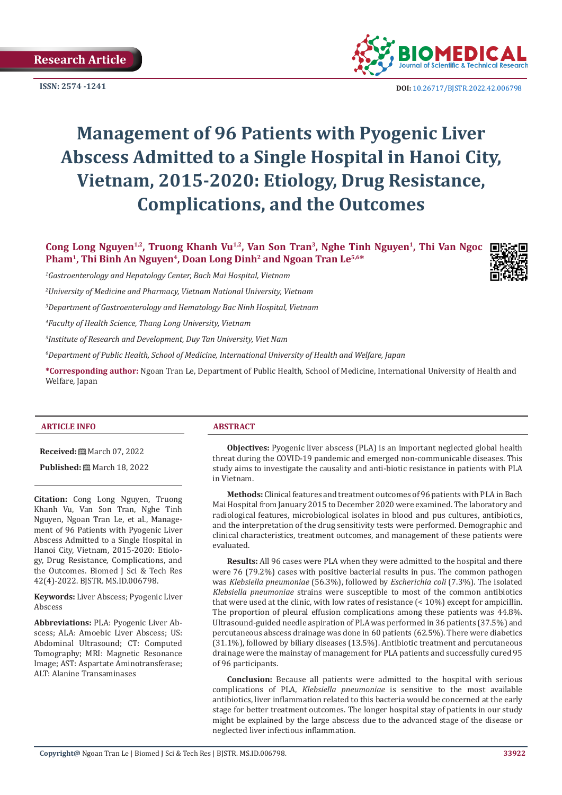

**ISSN: 2574 -1241 DOI:** [10.26717/BJSTR.2022.42.006798](https://dx.doi.org/10.26717/BJSTR.2022.42.006798)

# **Management of 96 Patients with Pyogenic Liver Abscess Admitted to a Single Hospital in Hanoi City, Vietnam, 2015-2020: Etiology, Drug Resistance, Complications, and the Outcomes**

Cong Long Nguyen<sup>1,2</sup>, Truong Khanh Vu<sup>1,2</sup>, Van Son Tran<sup>3</sup>, Nghe Tinh Nguyen<sup>1</sup>, Thi Van Ngoc Pham<sup>1</sup>, Thi Binh An Nguyen<sup>4</sup>, Doan Long Dinh<sup>2</sup> and Ngoan Tran Le<sup>5,6\*</sup>

*1 Gastroenterology and Hepatology Center, Bach Mai Hospital, Vietnam*

*2 University of Medicine and Pharmacy, Vietnam National University, Vietnam*

*3 Department of Gastroenterology and Hematology Bac Ninh Hospital, Vietnam*

*4 Faculty of Health Science, Thang Long University, Vietnam*

*5 Institute of Research and Development, Duy Tan University, Viet Nam*

*6 Department of Public Health, School of Medicine, International University of Health and Welfare, Japan*

**\*Corresponding author:** Ngoan Tran Le, Department of Public Health, School of Medicine, International University of Health and Welfare, Japan

#### **ARTICLE INFO ABSTRACT**

**Received:** March 07, 2022

**Published:** ■ March 18, 2022

**Citation:** Cong Long Nguyen, Truong Khanh Vu, Van Son Tran, Nghe Tinh Nguyen, Ngoan Tran Le, et al., Management of 96 Patients with Pyogenic Liver Abscess Admitted to a Single Hospital in Hanoi City, Vietnam, 2015-2020: Etiology, Drug Resistance, Complications, and the Outcomes. Biomed J Sci & Tech Res 42(4)-2022. BJSTR. MS.ID.006798.

**Keywords:** Liver Abscess; Pyogenic Liver Abscess

**Abbreviations:** PLA: Pyogenic Liver Abscess; ALA: Amoebic Liver Abscess; US: Abdominal Ultrasound; CT: Computed Tomography; MRI: Magnetic Resonance Image; AST: Aspartate Aminotransferase; ALT: Alanine Transaminases

**Objectives:** Pyogenic liver abscess (PLA) is an important neglected global health threat during the COVID-19 pandemic and emerged non-communicable diseases. This study aims to investigate the causality and anti-biotic resistance in patients with PLA in Vietnam.

**Methods:** Clinical features and treatment outcomes of 96 patients with PLA in Bach Mai Hospital from January 2015 to December 2020 were examined. The laboratory and radiological features, microbiological isolates in blood and pus cultures, antibiotics, and the interpretation of the drug sensitivity tests were performed. Demographic and clinical characteristics, treatment outcomes, and management of these patients were evaluated.

**Results:** All 96 cases were PLA when they were admitted to the hospital and there were 76 (79.2%) cases with positive bacterial results in pus. The common pathogen was *Klebsiella pneumoniae* (56.3%), followed by *Escherichia coli* (7.3%). The isolated *Klebsiella pneumoniae* strains were susceptible to most of the common antibiotics that were used at the clinic, with low rates of resistance (< 10%) except for ampicillin. The proportion of pleural effusion complications among these patients was 44.8%. Ultrasound-guided needle aspiration of PLA was performed in 36 patients (37.5%) and percutaneous abscess drainage was done in 60 patients (62.5%). There were diabetics (31.1%), followed by biliary diseases (13.5%). Antibiotic treatment and percutaneous drainage were the mainstay of management for PLA patients and successfully cured 95 of 96 participants.

**Conclusion:** Because all patients were admitted to the hospital with serious complications of PLA, *Klebsiella pneumoniae* is sensitive to the most available antibiotics, liver inflammation related to this bacteria would be concerned at the early stage for better treatment outcomes. The longer hospital stay of patients in our study might be explained by the large abscess due to the advanced stage of the disease or neglected liver infectious inflammation.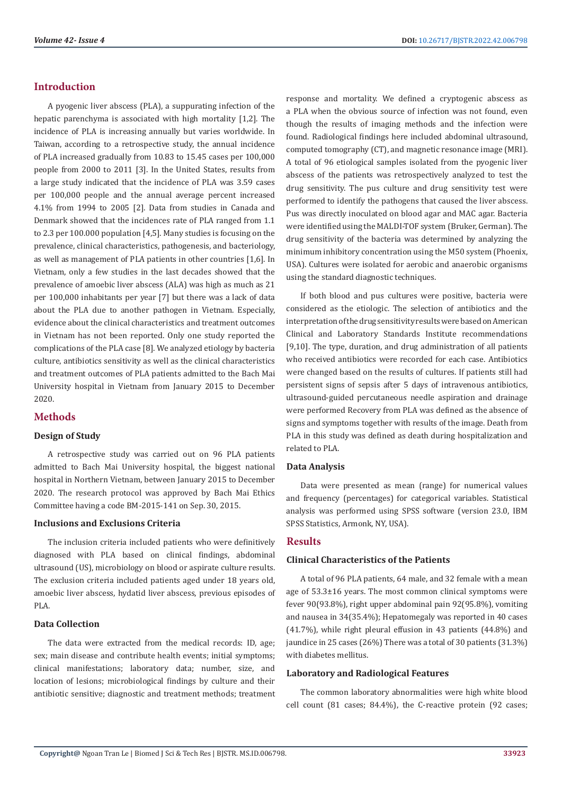# **Introduction**

A pyogenic liver abscess (PLA), a suppurating infection of the hepatic parenchyma is associated with high mortality [1,2]. The incidence of PLA is increasing annually but varies worldwide. In Taiwan, according to a retrospective study, the annual incidence of PLA increased gradually from 10.83 to 15.45 cases per 100,000 people from 2000 to 2011 [3]. In the United States, results from a large study indicated that the incidence of PLA was 3.59 cases per 100,000 people and the annual average percent increased 4.1% from 1994 to 2005 [2]. Data from studies in Canada and Denmark showed that the incidences rate of PLA ranged from 1.1 to 2.3 per 100.000 population [4,5]. Many studies is focusing on the prevalence, clinical characteristics, pathogenesis, and bacteriology, as well as management of PLA patients in other countries [1,6]. In Vietnam, only a few studies in the last decades showed that the prevalence of amoebic liver abscess (ALA) was high as much as 21 per 100,000 inhabitants per year [7] but there was a lack of data about the PLA due to another pathogen in Vietnam. Especially, evidence about the clinical characteristics and treatment outcomes in Vietnam has not been reported. Only one study reported the complications of the PLA case [8]. We analyzed etiology by bacteria culture, antibiotics sensitivity as well as the clinical characteristics and treatment outcomes of PLA patients admitted to the Bach Mai University hospital in Vietnam from January 2015 to December 2020.

# **Methods**

#### **Design of Study**

A retrospective study was carried out on 96 PLA patients admitted to Bach Mai University hospital, the biggest national hospital in Northern Vietnam, between January 2015 to December 2020. The research protocol was approved by Bach Mai Ethics Committee having a code BM-2015-141 on Sep. 30, 2015.

#### **Inclusions and Exclusions Criteria**

The inclusion criteria included patients who were definitively diagnosed with PLA based on clinical findings, abdominal ultrasound (US), microbiology on blood or aspirate culture results. The exclusion criteria included patients aged under 18 years old, amoebic liver abscess, hydatid liver abscess, previous episodes of PLA.

# **Data Collection**

The data were extracted from the medical records: ID, age; sex; main disease and contribute health events; initial symptoms; clinical manifestations; laboratory data; number, size, and location of lesions; microbiological findings by culture and their antibiotic sensitive; diagnostic and treatment methods; treatment response and mortality. We defined a cryptogenic abscess as a PLA when the obvious source of infection was not found, even though the results of imaging methods and the infection were found. Radiological findings here included abdominal ultrasound, computed tomography (CT), and magnetic resonance image (MRI). A total of 96 etiological samples isolated from the pyogenic liver abscess of the patients was retrospectively analyzed to test the drug sensitivity. The pus culture and drug sensitivity test were performed to identify the pathogens that caused the liver abscess. Pus was directly inoculated on blood agar and MAC agar. Bacteria were identified using the MALDI-TOF system (Bruker, German). The drug sensitivity of the bacteria was determined by analyzing the minimum inhibitory concentration using the M50 system (Phoenix, USA). Cultures were isolated for aerobic and anaerobic organisms using the standard diagnostic techniques.

If both blood and pus cultures were positive, bacteria were considered as the etiologic. The selection of antibiotics and the interpretation of the drug sensitivity results were based on American Clinical and Laboratory Standards Institute recommendations [9,10]. The type, duration, and drug administration of all patients who received antibiotics were recorded for each case. Antibiotics were changed based on the results of cultures. If patients still had persistent signs of sepsis after 5 days of intravenous antibiotics, ultrasound-guided percutaneous needle aspiration and drainage were performed Recovery from PLA was defined as the absence of signs and symptoms together with results of the image. Death from PLA in this study was defined as death during hospitalization and related to PLA.

#### **Data Analysis**

Data were presented as mean (range) for numerical values and frequency (percentages) for categorical variables. Statistical analysis was performed using SPSS software (version 23.0, IBM SPSS Statistics, Armonk, NY, USA).

# **Results**

### **Clinical Characteristics of the Patients**

A total of 96 PLA patients, 64 male, and 32 female with a mean age of 53.3±16 years. The most common clinical symptoms were fever 90(93.8%), right upper abdominal pain 92(95.8%), vomiting and nausea in 34(35.4%); Hepatomegaly was reported in 40 cases (41.7%), while right pleural effusion in 43 patients (44.8%) and jaundice in 25 cases (26%) There was a total of 30 patients (31.3%) with diabetes mellitus.

#### **Laboratory and Radiological Features**

The common laboratory abnormalities were high white blood cell count (81 cases; 84.4%), the C-reactive protein (92 cases;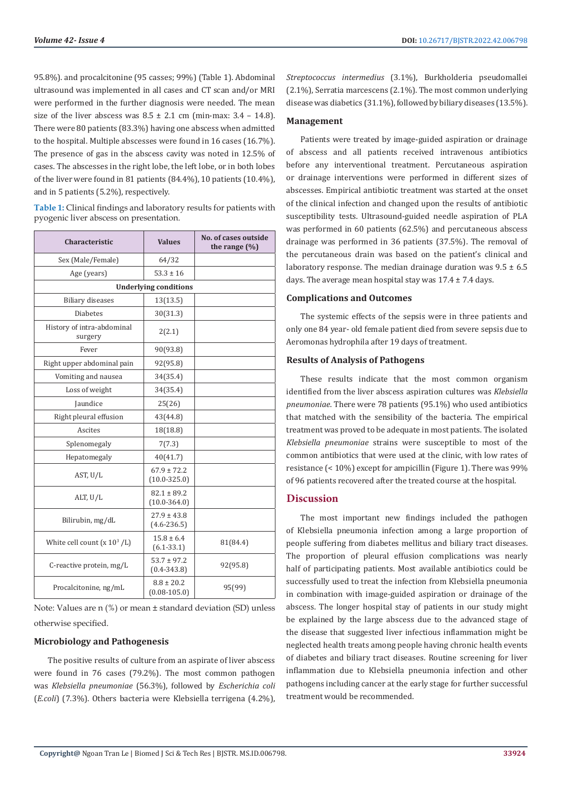95.8%). and procalcitonine (95 casses; 99%) (Table 1). Abdominal ultrasound was implemented in all cases and CT scan and/or MRI were performed in the further diagnosis were needed. The mean size of the liver abscess was  $8.5 \pm 2.1$  cm (min-max:  $3.4 - 14.8$ ). There were 80 patients (83.3%) having one abscess when admitted to the hospital. Multiple abscesses were found in 16 cases (16.7%). The presence of gas in the abscess cavity was noted in 12.5% of cases. The abscesses in the right lobe, the left lobe, or in both lobes of the liver were found in 81 patients (84.4%), 10 patients (10.4%), and in 5 patients (5.2%), respectively.

**Table 1:** Clinical findings and laboratory results for patients with pyogenic liver abscess on presentation.

| <b>Characteristic</b>                 | <b>Values</b>                       | No. of cases outside<br>the range $(\%)$ |  |  |
|---------------------------------------|-------------------------------------|------------------------------------------|--|--|
| Sex (Male/Female)                     | 64/32                               |                                          |  |  |
| Age (years)                           | $53.3 \pm 16$                       |                                          |  |  |
| <b>Underlying conditions</b>          |                                     |                                          |  |  |
| <b>Biliary diseases</b>               | 13(13.5)                            |                                          |  |  |
| <b>Diabetes</b>                       | 30(31.3)                            |                                          |  |  |
| History of intra-abdominal<br>surgery | 2(2.1)                              |                                          |  |  |
| Fever                                 | 90(93.8)                            |                                          |  |  |
| Right upper abdominal pain            | 92(95.8)                            |                                          |  |  |
| Vomiting and nausea                   | 34(35.4)                            |                                          |  |  |
| Loss of weight                        | 34(35.4)                            |                                          |  |  |
| Jaundice                              | 25(26)                              |                                          |  |  |
| Right pleural effusion                | 43(44.8)                            |                                          |  |  |
| Ascites                               | 18(18.8)                            |                                          |  |  |
| Splenomegaly                          | 7(7.3)                              |                                          |  |  |
| Hepatomegaly                          | 40(41.7)                            |                                          |  |  |
| AST, $U/L$                            | $67.9 \pm 72.2$<br>$(10.0 - 325.0)$ |                                          |  |  |
| ALT, U/L                              | $82.1 \pm 89.2$<br>$(10.0 - 364.0)$ |                                          |  |  |
| Bilirubin, mg/dL                      | $27.9 \pm 43.8$<br>$(4.6 - 236.5)$  |                                          |  |  |
| White cell count $(x 10^3/L)$         | $15.8 \pm 6.4$<br>$(6.1 - 33.1)$    | 81(84.4)                                 |  |  |
| C-reactive protein, mg/L              | $53.7 \pm 97.2$<br>$(0.4 - 343.8)$  | 92(95.8)                                 |  |  |
| Procalcitonine, ng/mL                 | $8.8 \pm 20.2$<br>$(0.08 - 105.0)$  | 95(99)                                   |  |  |

Note: Values are n (%) or mean ± standard deviation (SD) unless otherwise specified.

# **Microbiology and Pathogenesis**

The positive results of culture from an aspirate of liver abscess were found in 76 cases (79.2%). The most common pathogen was *Klebsiella pneumoniae* (56.3%), followed by *Escherichia coli* (*E.coli*) (7.3%). Others bacteria were Klebsiella terrigena (4.2%), *Streptococcus intermedius* (3.1%), Burkholderia pseudomallei (2.1%), Serratia marcescens (2.1%). The most common underlying disease was diabetics (31.1%), followed by biliary diseases (13.5%).

### **Management**

Patients were treated by image-guided aspiration or drainage of abscess and all patients received intravenous antibiotics before any interventional treatment. Percutaneous aspiration or drainage interventions were performed in different sizes of abscesses. Empirical antibiotic treatment was started at the onset of the clinical infection and changed upon the results of antibiotic susceptibility tests. Ultrasound-guided needle aspiration of PLA was performed in 60 patients (62.5%) and percutaneous abscess drainage was performed in 36 patients (37.5%). The removal of the percutaneous drain was based on the patient's clinical and laboratory response. The median drainage duration was  $9.5 \pm 6.5$ days. The average mean hospital stay was  $17.4 \pm 7.4$  days.

# **Complications and Outcomes**

The systemic effects of the sepsis were in three patients and only one 84 year- old female patient died from severe sepsis due to Aeromonas hydrophila after 19 days of treatment.

# **Results of Analysis of Pathogens**

These results indicate that the most common organism identified from the liver abscess aspiration cultures was *Klebsiella pneumoniae*. There were 78 patients (95.1%) who used antibiotics that matched with the sensibility of the bacteria. The empirical treatment was proved to be adequate in most patients. The isolated *Klebsiella pneumoniae* strains were susceptible to most of the common antibiotics that were used at the clinic, with low rates of resistance (< 10%) except for ampicillin (Figure 1). There was 99% of 96 patients recovered after the treated course at the hospital.

# **Discussion**

The most important new findings included the pathogen of Klebsiella pneumonia infection among a large proportion of people suffering from diabetes mellitus and biliary tract diseases. The proportion of pleural effusion complications was nearly half of participating patients. Most available antibiotics could be successfully used to treat the infection from Klebsiella pneumonia in combination with image-guided aspiration or drainage of the abscess. The longer hospital stay of patients in our study might be explained by the large abscess due to the advanced stage of the disease that suggested liver infectious inflammation might be neglected health treats among people having chronic health events of diabetes and biliary tract diseases. Routine screening for liver inflammation due to Klebsiella pneumonia infection and other pathogens including cancer at the early stage for further successful treatment would be recommended.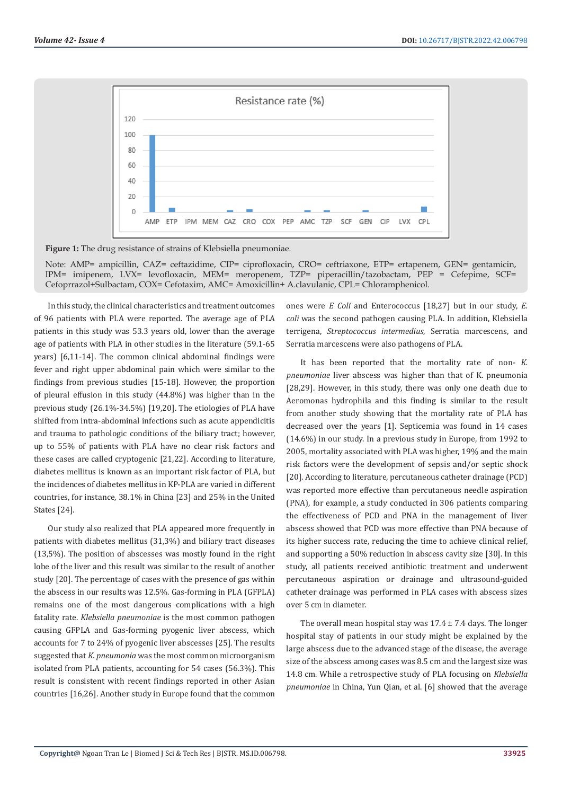

**Figure 1:** The drug resistance of strains of Klebsiella pneumoniae.

Note: AMP= ampicillin, CAZ= ceftazidime, CIP= ciprofloxacin, CRO= ceftriaxone, ETP= ertapenem, GEN= gentamicin, IPM= imipenem, LVX= levofloxacin, MEM= meropenem, TZP= piperacillin/tazobactam, PEP = Cefepime, SCF= Cefoprrazol+Sulbactam, COX= Cefotaxim, AMC= Amoxicillin+ A.clavulanic, CPL= Chloramphenicol.

In this study, the clinical characteristics and treatment outcomes of 96 patients with PLA were reported. The average age of PLA patients in this study was 53.3 years old, lower than the average age of patients with PLA in other studies in the literature (59.1-65 years) [6,11-14]. The common clinical abdominal findings were fever and right upper abdominal pain which were similar to the findings from previous studies [15-18]. However, the proportion of pleural effusion in this study (44.8%) was higher than in the previous study (26.1%-34.5%) [19,20]. The etiologies of PLA have shifted from intra-abdominal infections such as acute appendicitis and trauma to pathologic conditions of the biliary tract; however, up to 55% of patients with PLA have no clear risk factors and these cases are called cryptogenic [21,22]. According to literature, diabetes mellitus is known as an important risk factor of PLA, but the incidences of diabetes mellitus in KP-PLA are varied in different countries, for instance, 38.1% in China [23] and 25% in the United States [24].

Our study also realized that PLA appeared more frequently in patients with diabetes mellitus (31,3%) and biliary tract diseases (13,5%). The position of abscesses was mostly found in the right lobe of the liver and this result was similar to the result of another study [20]. The percentage of cases with the presence of gas within the abscess in our results was 12.5%. Gas-forming in PLA (GFPLA) remains one of the most dangerous complications with a high fatality rate. *Klebsiella pneumoniae* is the most common pathogen causing GFPLA and Gas-forming pyogenic liver abscess, which accounts for 7 to 24% of pyogenic liver abscesses [25]. The results suggested that *K. pneumonia* was the most common microorganism isolated from PLA patients, accounting for 54 cases (56.3%). This result is consistent with recent findings reported in other Asian countries [16,26]. Another study in Europe found that the common

ones were *E Coli* and Enterococcus [18,27] but in our study, *E. coli* was the second pathogen causing PLA. In addition, Klebsiella terrigena, *Streptococcus intermedius*, Serratia marcescens, and Serratia marcescens were also pathogens of PLA.

It has been reported that the mortality rate of non- *K. pneumoniae* liver abscess was higher than that of K. pneumonia [28,29]. However, in this study, there was only one death due to Aeromonas hydrophila and this finding is similar to the result from another study showing that the mortality rate of PLA has decreased over the years [1]. Septicemia was found in 14 cases (14.6%) in our study. In a previous study in Europe, from 1992 to 2005, mortality associated with PLA was higher, 19% and the main risk factors were the development of sepsis and/or septic shock [20]. According to literature, percutaneous catheter drainage (PCD) was reported more effective than percutaneous needle aspiration (PNA), for example, a study conducted in 306 patients comparing the effectiveness of PCD and PNA in the management of liver abscess showed that PCD was more effective than PNA because of its higher success rate, reducing the time to achieve clinical relief, and supporting a 50% reduction in abscess cavity size [30]. In this study, all patients received antibiotic treatment and underwent percutaneous aspiration or drainage and ultrasound-guided catheter drainage was performed in PLA cases with abscess sizes over 5 cm in diameter.

The overall mean hospital stay was  $17.4 \pm 7.4$  days. The longer hospital stay of patients in our study might be explained by the large abscess due to the advanced stage of the disease, the average size of the abscess among cases was 8.5 cm and the largest size was 14.8 cm. While a retrospective study of PLA focusing on *Klebsiella pneumoniae* in China, Yun Qian, et al. [6] showed that the average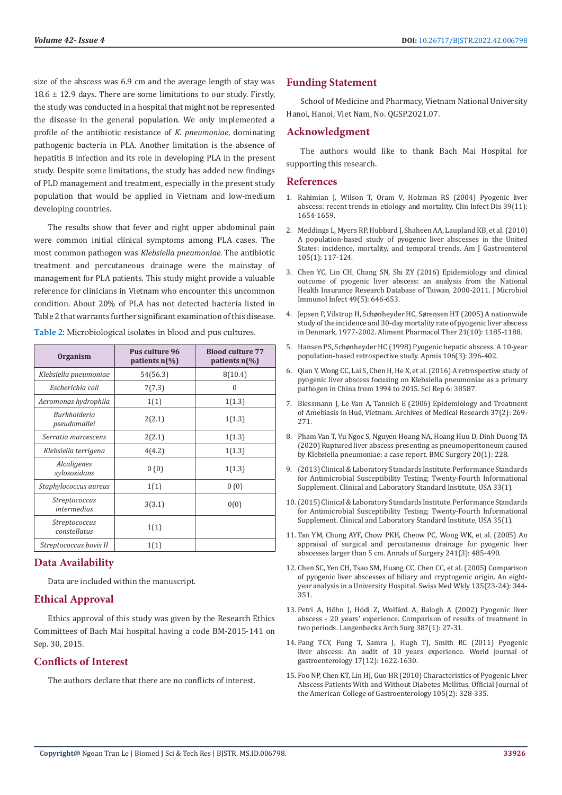size of the abscess was 6.9 cm and the average length of stay was 18.6 ± 12.9 days. There are some limitations to our study. Firstly, the study was conducted in a hospital that might not be represented the disease in the general population. We only implemented a profile of the antibiotic resistance of *K. pneumoniae*, dominating pathogenic bacteria in PLA. Another limitation is the absence of hepatitis B infection and its role in developing PLA in the present study. Despite some limitations, the study has added new findings of PLD management and treatment, especially in the present study population that would be applied in Vietnam and low-medium developing countries.

The results show that fever and right upper abdominal pain were common initial clinical symptoms among PLA cases. The most common pathogen was *Klebsiella pneumoniae*. The antibiotic treatment and percutaneous drainage were the mainstay of management for PLA patients. This study might provide a valuable reference for clinicians in Vietnam who encounter this uncommon condition. About 20% of PLA has not detected bacteria listed in Table 2 that warrants further significant examination of this disease.

| Table 2: Microbiological isolates in blood and pus cultures. |  |  |
|--------------------------------------------------------------|--|--|
|--------------------------------------------------------------|--|--|

| Organism                             | Pus culture 96<br>patients $n\llap/$ | <b>Blood culture 77</b><br>patients $n\llap/$ |
|--------------------------------------|--------------------------------------|-----------------------------------------------|
| Klebsiella pneumoniae                | 54(56.3)                             | 8(10.4)                                       |
| Escherichia coli                     | 7(7.3)                               | 0                                             |
| Aeromonas hydrophila                 | 1(1)                                 | 1(1.3)                                        |
| Burkholderia<br>pseudomallei         | 2(2.1)                               | 1(1.3)                                        |
| Serratia marcescens                  | 2(2.1)                               | 1(1.3)                                        |
| Klebsiella terrigena                 | 4(4.2)                               | 1(1.3)                                        |
| Alcaligenes<br>xylosoxidans          | 0(0)                                 | 1(1.3)                                        |
| Staphylococcus aureus                | 1(1)                                 | 0(0)                                          |
| Streptococcus<br>intermedius         | 3(3.1)                               | 0(0)                                          |
| <i>Streptococcus</i><br>constellatus | 1(1)                                 |                                               |
| Streptococcus bovis II               | 1(1)                                 |                                               |

#### **Data Availability**

Data are included within the manuscript.

# **Ethical Approval**

Ethics approval of this study was given by the Research Ethics Committees of Bach Mai hospital having a code BM-2015-141 on Sep. 30, 2015.

# **Conflicts of Interest**

The authors declare that there are no conflicts of interest.

# **Funding Statement**

School of Medicine and Pharmacy, Vietnam National University Hanoi, Hanoi, Viet Nam, No. QGSP.2021.07.

#### **Acknowledgment**

The authors would like to thank Bach Mai Hospital for supporting this research.

#### **References**

- 1. [Rahimian J, Wilson T, Oram V, Holzman RS \(2004\) Pyogenic liver](https://pubmed.ncbi.nlm.nih.gov/15578367/) [abscess: recent trends in etiology and mortality. Clin Infect Dis 39\(11\):](https://pubmed.ncbi.nlm.nih.gov/15578367/) [1654-1659.](https://pubmed.ncbi.nlm.nih.gov/15578367/)
- 2. [Meddings L, Myers RP, Hubbard J, Shaheen AA, Laupland KB, et al. \(2010\)](https://pubmed.ncbi.nlm.nih.gov/19888200/) [A population-based study of pyogenic liver abscesses in the United](https://pubmed.ncbi.nlm.nih.gov/19888200/) [States: incidence, mortality, and temporal trends. Am J Gastroenterol](https://pubmed.ncbi.nlm.nih.gov/19888200/) [105\(1\): 117-124.](https://pubmed.ncbi.nlm.nih.gov/19888200/)
- 3. [Chen YC, Lin CH, Chang SN, Shi ZY \(2016\) Epidemiology and clinical](https://pubmed.ncbi.nlm.nih.gov/25442876/) [outcome of pyogenic liver abscess: an analysis from the National](https://pubmed.ncbi.nlm.nih.gov/25442876/) [Health Insurance Research Database of Taiwan, 2000-2011. J Microbiol](https://pubmed.ncbi.nlm.nih.gov/25442876/) [Immunol Infect 49\(5\): 646-653.](https://pubmed.ncbi.nlm.nih.gov/25442876/)
- 4. Jepsen P, Vilstrup H, Schønheyder HC, Sø[rensen HT \(2005\) A nationwide](https://pubmed.ncbi.nlm.nih.gov/15882238/) [study of the incidence and 30-day mortality rate of pyogenic liver abscess](https://pubmed.ncbi.nlm.nih.gov/15882238/) [in Denmark, 1977-2002. Aliment Pharmacol Ther 21\(10\): 1185-1188.](https://pubmed.ncbi.nlm.nih.gov/15882238/)
- 5. Hansen PS, Schø[nheyder HC \(1998\) Pyogenic hepatic abscess. A 10-year](https://pubmed.ncbi.nlm.nih.gov/9548429/) [population-based retrospective study. Apmis 106\(3\): 396-402.](https://pubmed.ncbi.nlm.nih.gov/9548429/)
- 6. [Qian Y, Wong CC, Lai S, Chen H, He X, et al. \(2016\) A retrospective study of](https://pubmed.ncbi.nlm.nih.gov/27929082/) [pyogenic liver abscess focusing on Klebsiella pneumoniae as a primary](https://pubmed.ncbi.nlm.nih.gov/27929082/) [pathogen in China from 1994 to 2015. Sci Rep 6: 38587.](https://pubmed.ncbi.nlm.nih.gov/27929082/)
- 7. [Blessmann J, Le Van A, Tannich E \(2006\) Epidemiology and Treatment](https://pubmed.ncbi.nlm.nih.gov/16380330/) of Amebiasis in Hué[, Vietnam. Archives of Medical Research 37\(2\): 269-](https://pubmed.ncbi.nlm.nih.gov/16380330/) [271.](https://pubmed.ncbi.nlm.nih.gov/16380330/)
- 8. [Pham Van T, Vu Ngoc S, Nguyen Hoang NA, Hoang Huu D, Dinh Duong TA](https://pubmed.ncbi.nlm.nih.gov/33028298/) [\(2020\) Ruptured liver abscess presenting as pneumoperitoneum caused](https://pubmed.ncbi.nlm.nih.gov/33028298/) [by Klebsiella pneumoniae: a case report. BMC Surgery 20\(1\): 228.](https://pubmed.ncbi.nlm.nih.gov/33028298/)
- 9. (2013) Clinical & Laboratory Standards Institute. Performance Standards for Antimicrobial Susceptibility Testing; Twenty-Fourth Informational Supplement. Clinical and Laboratory Standard Institute, USA 33(1).
- 10.(2015) Clinical & Laboratory Standards Institute. Performance Standards for Antimicrobial Susceptibility Testing; Twenty-Fourth Informational Supplement. Clinical and Laboratory Standard Institute, USA 35(1).
- 11. Tan YM, Chung AYF, Chow PKH, Cheow PC, Wong WK, et al. (2005) An appraisal of surgical and percutaneous drainage for pyogenic liver abscesses larger than 5 cm. Annals of Surgery 241(3): 485-490.
- 12. [Chen SC, Yen CH, Tsao SM, Huang CC, Chen CC, et al. \(2005\) Comparison](https://pubmed.ncbi.nlm.nih.gov/16059789/) [of pyogenic liver abscesses of biliary and cryptogenic origin. An eight](https://pubmed.ncbi.nlm.nih.gov/16059789/)[year analysis in a University Hospital. Swiss Med Wkly 135\(23-24\): 344-](https://pubmed.ncbi.nlm.nih.gov/16059789/) [351.](https://pubmed.ncbi.nlm.nih.gov/16059789/)
- 13. Petri A, Höhn J, Hódi Z, Wolfá[rd A, Balogh A \(2002\) Pyogenic liver](https://pubmed.ncbi.nlm.nih.gov/11981681/) [abscess - 20 years' experience. Comparison of results of treatment in](https://pubmed.ncbi.nlm.nih.gov/11981681/) [two periods. Langenbecks Arch Surg 387\(1\): 27-31.](https://pubmed.ncbi.nlm.nih.gov/11981681/)
- 14. [Pang TCY, Fung T, Samra J, Hugh TJ, Smith RC \(2011\) Pyogenic](https://www.ncbi.nlm.nih.gov/labs/pmc/articles/PMC3070135/) [liver abscess: An audit of 10 years experience. World journal of](https://www.ncbi.nlm.nih.gov/labs/pmc/articles/PMC3070135/) [gastroenterology 17\(12\): 1622-1630.](https://www.ncbi.nlm.nih.gov/labs/pmc/articles/PMC3070135/)
- 15. [Foo NP, Chen KT, Lin HJ, Guo HR \(2010\) Characteristics of Pyogenic Liver](https://pubmed.ncbi.nlm.nih.gov/19826410/) [Abscess Patients With and Without Diabetes Mellitus. Official Journal of](https://pubmed.ncbi.nlm.nih.gov/19826410/) [the American College of Gastroenterology 105\(2\): 328-335.](https://pubmed.ncbi.nlm.nih.gov/19826410/)